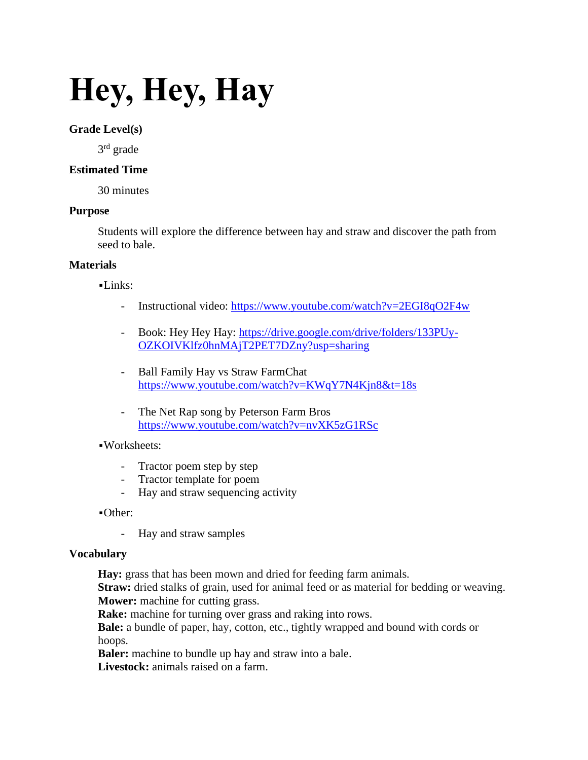# **Hey, Hey, Hay**

## **Grade Level(s)**

3<sup>rd</sup> grade

# **Estimated Time**

30 minutes

#### **Purpose**

Students will explore the difference between hay and straw and discover the path from seed to bale.

## **Materials**

▪Links:

- Instructional video:<https://www.youtube.com/watch?v=2EGI8qO2F4w>
- Book: Hey Hey Hay: [https://drive.google.com/drive/folders/133PUy-](https://drive.google.com/drive/folders/133PUy-OZKOIVKlfz0hnMAjT2PET7DZny?usp=sharing)[OZKOIVKlfz0hnMAjT2PET7DZny?usp=sharing](https://drive.google.com/drive/folders/133PUy-OZKOIVKlfz0hnMAjT2PET7DZny?usp=sharing)
- Ball Family Hay vs Straw FarmChat <https://www.youtube.com/watch?v=KWqY7N4Kjn8&t=18s>
- The Net Rap song by Peterson Farm Bros <https://www.youtube.com/watch?v=nvXK5zG1RSc>

## ▪Worksheets:

- Tractor poem step by step
- Tractor template for poem
- Hay and straw sequencing activity

▪Other:

- Hay and straw samples

#### **Vocabulary**

Hay: grass that has been mown and dried for feeding farm animals.

**Straw:** dried stalks of grain, used for animal feed or as material for bedding or weaving. **Mower:** machine for cutting grass.

**Rake:** machine for turning over grass and raking into rows.

**Bale:** a bundle of paper, hay, cotton, etc., tightly wrapped and bound with cords or hoops.

**Baler:** machine to bundle up hay and straw into a bale.

**Livestock:** animals raised on a farm.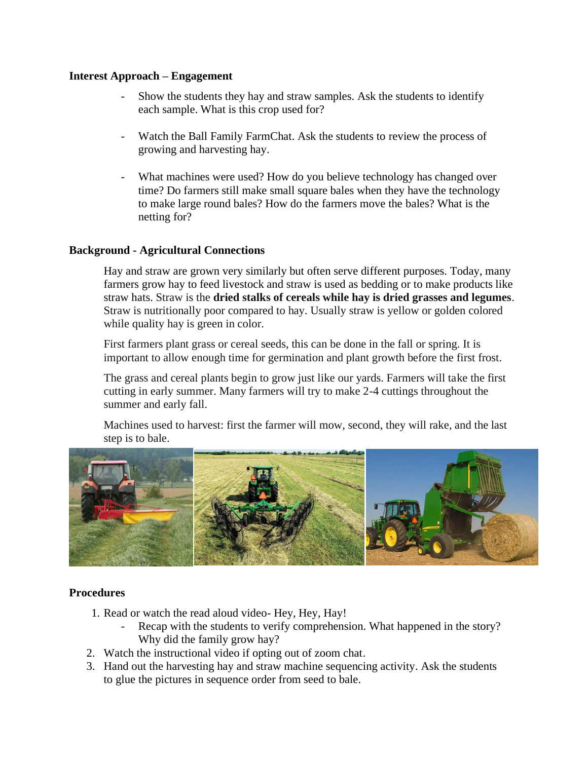#### **Interest Approach – Engagement**

- Show the students they hay and straw samples. Ask the students to identify each sample. What is this crop used for?
- Watch the Ball Family FarmChat. Ask the students to review the process of growing and harvesting hay.
- What machines were used? How do you believe technology has changed over time? Do farmers still make small square bales when they have the technology to make large round bales? How do the farmers move the bales? What is the netting for?

# **Background - Agricultural Connections**

Hay and straw are grown very similarly but often serve different purposes. Today, many farmers grow hay to feed livestock and straw is used as bedding or to make products like straw hats. Straw is the **dried stalks of cereals while hay is dried grasses and legumes**. Straw is nutritionally poor compared to hay. Usually straw is yellow or golden colored while quality hay is green in color.

First farmers plant grass or cereal seeds, this can be done in the fall or spring. It is important to allow enough time for germination and plant growth before the first frost.

The grass and cereal plants begin to grow just like our yards. Farmers will take the first cutting in early summer. Many farmers will try to make 2-4 cuttings throughout the summer and early fall.

Machines used to harvest: first the farmer will mow, second, they will rake, and the last step is to bale.



# **Procedures**

- 1. Read or watch the read aloud video- Hey, Hey, Hay!
	- Recap with the students to verify comprehension. What happened in the story? Why did the family grow hay?
- 2. Watch the instructional video if opting out of zoom chat.
- 3. Hand out the harvesting hay and straw machine sequencing activity. Ask the students to glue the pictures in sequence order from seed to bale.